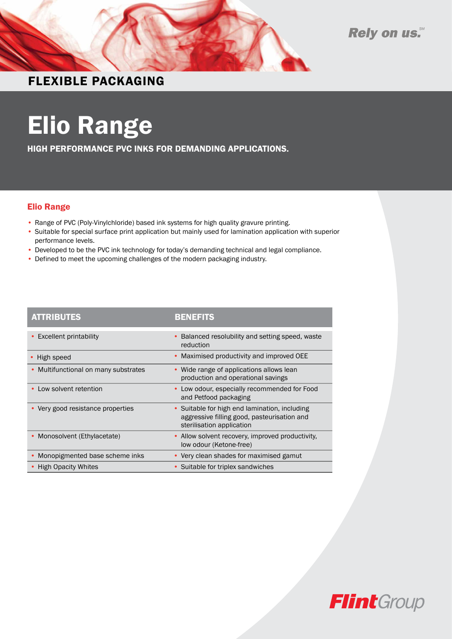



## FLEXIBLE PACKAGING

# Elio Range

HIGH PERFORMANCE PVC INKS FOR DEMANDING APPLICATIONS.

#### Elio Range

- Range of PVC (Poly-Vinylchloride) based ink systems for high quality gravure printing.
- Suitable for special surface print application but mainly used for lamination application with superior performance levels.
- Developed to be the PVC ink technology for today's demanding technical and legal compliance.
- Defined to meet the upcoming challenges of the modern packaging industry.

| <b>ATTRIBUTES</b>                    | <b>BENEFITS</b>                                                                                                           |
|--------------------------------------|---------------------------------------------------------------------------------------------------------------------------|
| <b>Excellent printability</b>        | Balanced resolubility and setting speed, waste<br>reduction                                                               |
| High speed                           | • Maximised productivity and improved OEE                                                                                 |
| • Multifunctional on many substrates | • Wide range of applications allows lean<br>production and operational savings                                            |
| • Low solvent retention              | Low odour, especially recommended for Food<br>and Petfood packaging                                                       |
| • Very good resistance properties    | • Suitable for high end lamination, including<br>aggressive filling good, pasteurisation and<br>sterilisation application |
| Monosolvent (Ethylacetate)           | • Allow solvent recovery, improved productivity,<br>low odour (Ketone-free)                                               |
| Monopigmented base scheme inks       | • Very clean shades for maximised gamut                                                                                   |
| • High Opacity Whites                | • Suitable for triplex sandwiches                                                                                         |